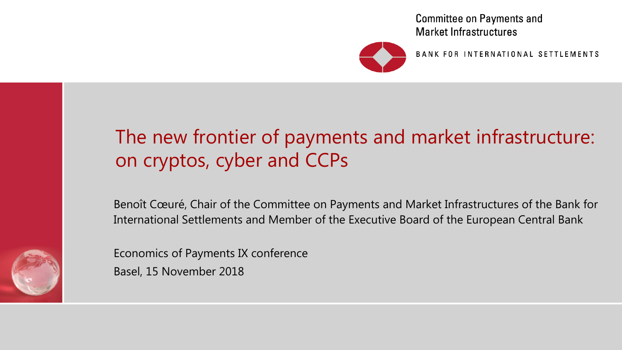**Committee on Payments and Market Infrastructures** 



BANK FOR INTERNATIONAL SETTLEMENTS

## The new frontier of payments and market infrastructure: on cryptos, cyber and CCPs

Benoît Cœuré, Chair of the Committee on Payments and Market Infrastructures of the Bank for International Settlements and Member of the Executive Board of the European Central Bank



Economics of Payments IX conference

Basel, 15 November 2018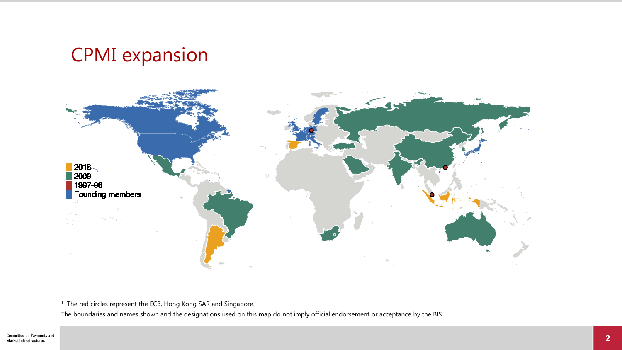### CPMI expansion



<sup>1</sup> The red circles represent the ECB, Hong Kong SAR and Singapore.

The boundaries and names shown and the designations used on this map do not imply official endorsement or acceptance by the BIS.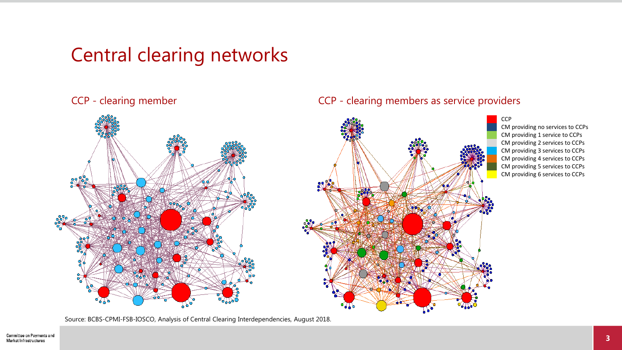### Central clearing networks



Source: BCBS-CPMI-FSB-IOSCO, Analysis of Central Clearing Interdependencies, August 2018.

#### CCP - clearing member CCP - clearing members as service providers

**CCP** CM providing no services to CCPs CM providing 1 service to CCPs CM providing 2 services to CCPs CM providing 3 services to CCPs CM providing 4 services to CCPs CM providing 5 services to CCPs CM providing 6 services to CCPs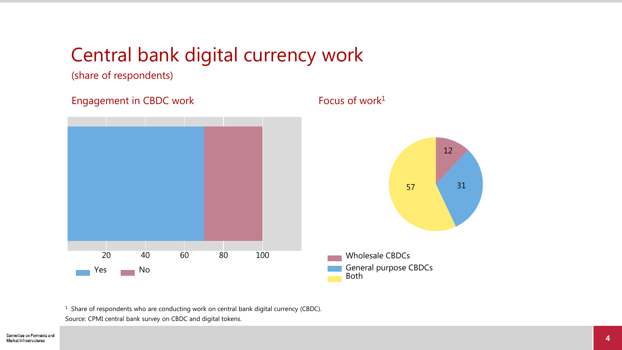### Central bank digital currency work

(share of respondents)

Engagement in CBDC work  $F_{\text{OCUS}}$  of work<sup>1</sup>



 $1$  Share of respondents who are conducting work on central bank digital currency (CBDC). Source: CPMI central bank survey on CBDC and digital tokens.